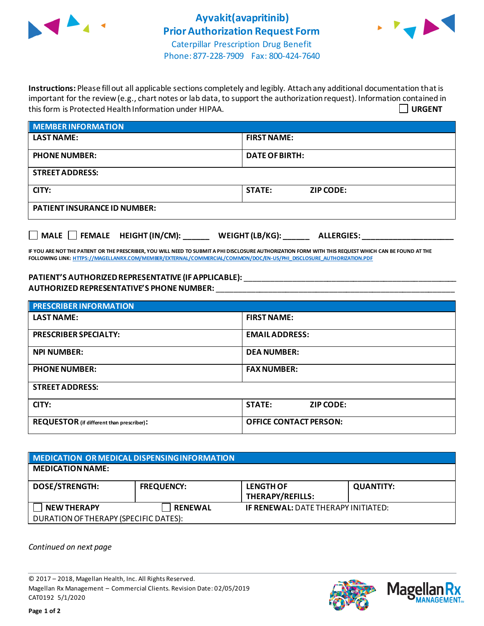



Phone: 877-228-7909 Fax: 800-424-7640

**Instructions:** Please fill out all applicable sections completely and legibly. Attach any additional documentation that is important for the review (e.g., chart notes or lab data, to support the authorization request). Information contained in this form is Protected Health Information under HIPAA. **URGENT**

| <b>MEMBER INFORMATION</b>           |                                   |  |  |
|-------------------------------------|-----------------------------------|--|--|
| <b>LAST NAME:</b>                   | <b>FIRST NAME:</b>                |  |  |
| <b>PHONE NUMBER:</b>                | <b>DATE OF BIRTH:</b>             |  |  |
| <b>STREET ADDRESS:</b>              |                                   |  |  |
| CITY:                               | <b>STATE:</b><br><b>ZIP CODE:</b> |  |  |
| <b>PATIENT INSURANCE ID NUMBER:</b> |                                   |  |  |
|                                     |                                   |  |  |

**IF YOU ARE NOT THE PATIENT OR THE PRESCRIBER, YOU WILL NEED TO SUBMIT A PHI DISCLOSURE AUTHORIZATION FORM WITH THIS REQUEST WHICH CAN BE FOUND AT THE FOLLOWING LINK[: HTTPS://MAGELLANRX.COM/MEMBER/EXTERNAL/COMMERCIAL/COMMON/DOC/EN-US/PHI\\_DISCLOSURE\\_AUTHORIZATION.PDF](https://magellanrx.com/member/external/commercial/common/doc/en-us/PHI_Disclosure_Authorization.pdf)**

**MALE FEMALE HEIGHT (IN/CM): \_\_\_\_\_\_ WEIGHT (LB/KG): \_\_\_\_\_\_ ALLERGIES: \_\_\_\_\_\_\_\_\_\_\_\_\_\_\_\_\_\_\_\_\_**

**PATIENT'S AUTHORIZEDREPRESENTATIVE (IF APPLICABLE):** \_\_\_\_\_\_\_\_\_\_\_\_\_\_\_\_\_\_\_\_\_\_\_\_\_\_\_\_\_\_\_\_\_\_\_\_\_\_\_\_\_\_\_\_\_\_\_\_\_ **AUTHORIZED REPRESENTATIVE'S PHONE NUMBER:** \_\_\_\_\_\_\_\_\_\_\_\_\_\_\_\_\_\_\_\_\_\_\_\_\_\_\_\_\_\_\_\_\_\_\_\_\_\_\_\_\_\_\_\_\_\_\_\_\_\_\_\_\_\_\_

| <b>PRESCRIBER INFORMATION</b>             |                                   |  |  |
|-------------------------------------------|-----------------------------------|--|--|
| <b>LAST NAME:</b>                         | <b>FIRST NAME:</b>                |  |  |
| <b>PRESCRIBER SPECIALTY:</b>              | <b>EMAIL ADDRESS:</b>             |  |  |
| <b>NPI NUMBER:</b>                        | <b>DEA NUMBER:</b>                |  |  |
| <b>PHONE NUMBER:</b>                      | <b>FAX NUMBER:</b>                |  |  |
| <b>STREET ADDRESS:</b>                    |                                   |  |  |
| CITY:                                     | <b>STATE:</b><br><b>ZIP CODE:</b> |  |  |
| REQUESTOR (if different than prescriber): | <b>OFFICE CONTACT PERSON:</b>     |  |  |

| MEDICATION OR MEDICAL DISPENSING INFORMATION |                   |                                            |                  |  |  |
|----------------------------------------------|-------------------|--------------------------------------------|------------------|--|--|
| <b>MEDICATION NAME:</b>                      |                   |                                            |                  |  |  |
| <b>DOSE/STRENGTH:</b>                        | <b>FREQUENCY:</b> | <b>LENGTH OF</b><br>THERAPY/REFILLS:       | <b>QUANTITY:</b> |  |  |
| <b>NEW THERAPY</b>                           | <b>RENEWAL</b>    | <b>IF RENEWAL: DATE THERAPY INITIATED:</b> |                  |  |  |
| DURATION OF THERAPY (SPECIFIC DATES):        |                   |                                            |                  |  |  |

*Continued on next page*

© 2017 – 2018, Magellan Health, Inc. All Rights Reserved. Magellan Rx Management – Commercial Clients. Revision Date: 02/05/2019 CAT0192 5/1/2020